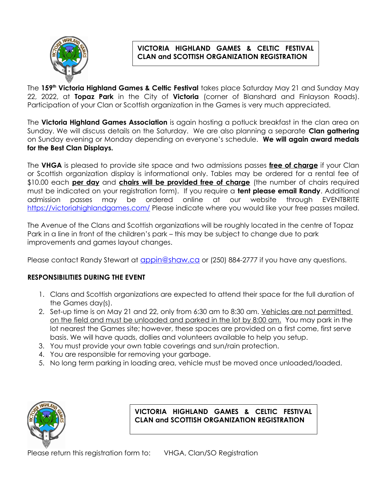

# **VICTORIA HIGHLAND GAMES & CELTIC FESTIVAL CLAN and SCOTTISH ORGANIZATION REGISTRATION**

The **159th Victoria Highland Games & Celtic Festival** takes place Saturday May 21 and Sunday May 22, 2022, at **Topaz Park** in the City of **Victoria** (corner of Blanshard and Finlayson Roads). Participation of your Clan or Scottish organization in the Games is very much appreciated.

The **Victoria Highland Games Association** is again hosting a potluck breakfast in the clan area on Sunday. We will discuss details on the Saturday. We are also planning a separate **Clan gathering** on Sunday evening or Monday depending on everyone's schedule. **We will again award medals for the Best Clan Displays.**

The **VHGA** is pleased to provide site space and two admissions passes **free of charge** if your Clan or Scottish organization display is informational only. Tables may be ordered for a rental fee of \$10.00 each **per day** and **chairs will be provided free of charge** (the number of chairs required must be indicated on your registration form). If you require a **tent please email Randy**. Additional admission passes may be ordered online at our website through EVENTBRITE <https://victoriahighlandgames.com/>Please indicate where you would like your free passes mailed.

The Avenue of the Clans and Scottish organizations will be roughly located in the centre of Topaz Park in a line in front of the children's park – this may be subject to change due to park improvements and games layout changes.

Please contact Randy Stewart at **[appin@shaw.ca](mailto:appin@shaw.ca)** or (250) 884-2777 if you have any questions.

## **RESPONSIBILITIES DURING THE EVENT**

- 1. Clans and Scottish organizations are expected to attend their space for the full duration of the Games day(s).
- 2. Set-up time is on May 21 and 22, only from 6:30 am to 8:30 am. Vehicles are not permitted on the field and must be unloaded and parked in the lot by 8:00 am. You may park in the lot nearest the Games site; however, these spaces are provided on a first come, first serve basis. We will have quads, dollies and volunteers available to help you setup.
- 3. You must provide your own table coverings and sun/rain protection.
- 4. You are responsible for removing your garbage.
- 5. No long term parking in loading area, vehicle must be moved once unloaded/loaded.



**VICTORIA HIGHLAND GAMES & CELTIC FESTIVAL CLAN and SCOTTISH ORGANIZATION REGISTRATION**

Please return this registration form to: VHGA, Clan/SO Registration